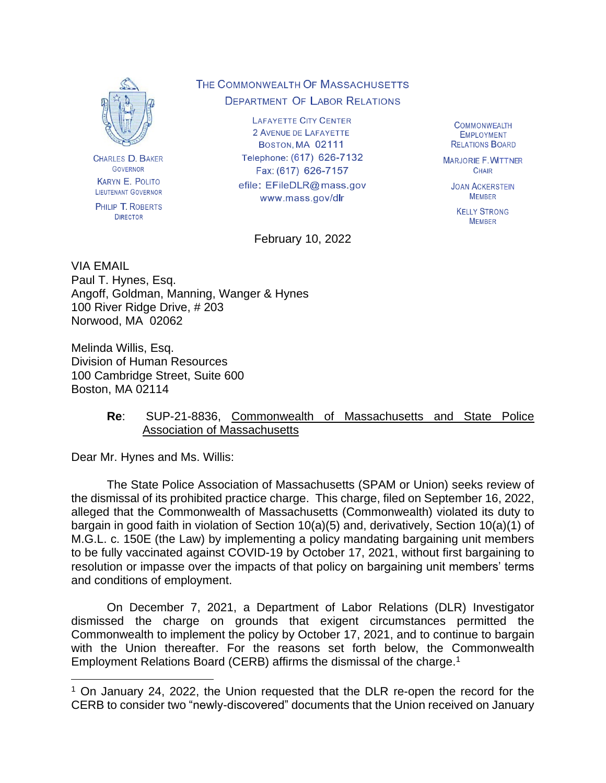

**CHARLES D. BAKER** GOVERNOR **KARYN E. POLITO** LIEUTENANT GOVERNOR

PHILIP T. ROBERTS **DIRECTOR** 

# THE COMMONWEALTH OF MASSACHUSETTS **DEPARTMENT OF LABOR RELATIONS**

**LAFAYETTE CITY CENTER** 2 AVENUE DE LAFAYETTE **BOSTON, MA 02111** Telephone: (617) 626-7132 Fax: (617) 626-7157 efile: EFileDLR@mass.gov www.mass.gov/dlr

February 10, 2022

**COMMONWEALTH EMPLOYMENT RELATIONS BOARD** 

**MARJORIE F. WITTNER** CHAIR

**JOAN ACKERSTEIN MEMBER** 

**KELLY STRONG MEMRER** 

VIA EMAIL Paul T. Hynes, Esq.

Angoff, Goldman, Manning, Wanger & Hynes 100 River Ridge Drive, # 203 Norwood, MA 02062

Melinda Willis, Esq. Division of Human Resources 100 Cambridge Street, Suite 600 Boston, MA 02114

# **Re**: SUP-21-8836, Commonwealth of Massachusetts and State Police Association of Massachusetts

Dear Mr. Hynes and Ms. Willis:

The State Police Association of Massachusetts (SPAM or Union) seeks review of the dismissal of its prohibited practice charge. This charge, filed on September 16, 2022, alleged that the Commonwealth of Massachusetts (Commonwealth) violated its duty to bargain in good faith in violation of Section 10(a)(5) and, derivatively, Section 10(a)(1) of M.G.L. c. 150E (the Law) by implementing a policy mandating bargaining unit members to be fully vaccinated against COVID-19 by October 17, 2021, without first bargaining to resolution or impasse over the impacts of that policy on bargaining unit members' terms and conditions of employment.

On December 7, 2021, a Department of Labor Relations (DLR) Investigator dismissed the charge on grounds that exigent circumstances permitted the Commonwealth to implement the policy by October 17, 2021, and to continue to bargain with the Union thereafter. For the reasons set forth below, the Commonwealth Employment Relations Board (CERB) affirms the dismissal of the charge.<sup>1</sup>

 $1$  On January 24, 2022, the Union requested that the DLR re-open the record for the CERB to consider two "newly-discovered" documents that the Union received on January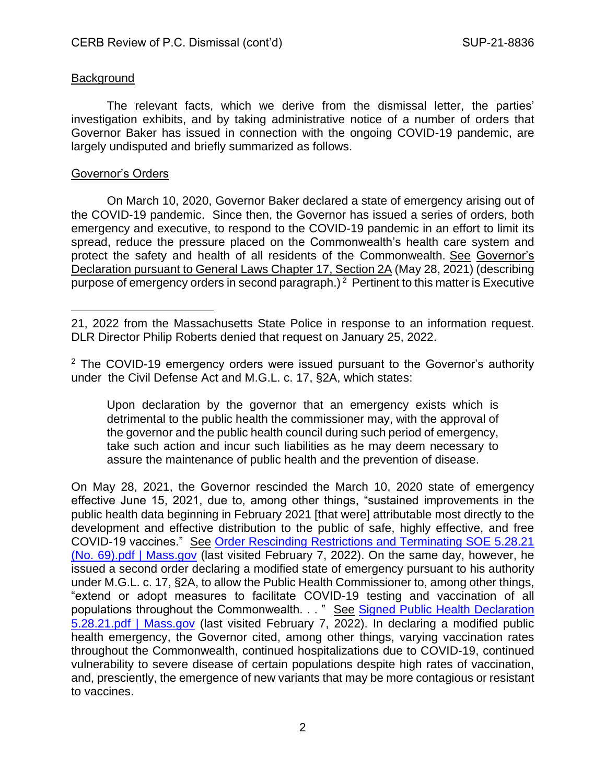# Background

The relevant facts, which we derive from the dismissal letter, the parties' investigation exhibits, and by taking administrative notice of a number of orders that Governor Baker has issued in connection with the ongoing COVID-19 pandemic, are largely undisputed and briefly summarized as follows.

### Governor's Orders

On March 10, 2020, Governor Baker declared a state of emergency arising out of the COVID-19 pandemic. Since then, the Governor has issued a series of orders, both emergency and executive, to respond to the COVID-19 pandemic in an effort to limit its spread, reduce the pressure placed on the Commonwealth's health care system and protect the safety and health of all residents of the Commonwealth. See Governor's Declaration pursuant to General Laws Chapter 17, Section 2A (May 28, 2021) (describing purpose of emergency orders in second paragraph.)<sup>2</sup> Pertinent to this matter is Executive

<sup>2</sup> The COVID-19 emergency orders were issued pursuant to the Governor's authority under the Civil Defense Act and M.G.L. c. 17, §2A, which states:

Upon declaration by the governor that an emergency exists which is detrimental to the public health the commissioner may, with the approval of the governor and the public health council during such period of emergency, take such action and incur such liabilities as he may deem necessary to assure the maintenance of public health and the prevention of disease.

On May 28, 2021, the Governor rescinded the March 10, 2020 state of emergency effective June 15, 2021, due to, among other things, "sustained improvements in the public health data beginning in February 2021 [that were] attributable most directly to the development and effective distribution to the public of safe, highly effective, and free COVID-19 vaccines." See [Order Rescinding Restrictions and Terminating SOE 5.28.21](https://www.mass.gov/doc/covid-19-order-69)  [\(No. 69\).pdf | Mass.gov](https://www.mass.gov/doc/covid-19-order-69) (last visited February 7, 2022). On the same day, however, he issued a second order declaring a modified state of emergency pursuant to his authority under M.G.L. c. 17, §2A, to allow the Public Health Commissioner to, among other things, "extend or adopt measures to facilitate COVID-19 testing and vaccination of all populations throughout the Commonwealth. . . " See Signed Public Health Declaration [5.28.21.pdf | Mass.gov](https://www.mass.gov/doc/covid-19-modified-public-health-emergency-may-28-2021) (last visited February 7, 2022). In declaring a modified public health emergency, the Governor cited, among other things, varying vaccination rates throughout the Commonwealth, continued hospitalizations due to COVID-19, continued vulnerability to severe disease of certain populations despite high rates of vaccination, and, presciently, the emergence of new variants that may be more contagious or resistant to vaccines.

<sup>21, 2022</sup> from the Massachusetts State Police in response to an information request. DLR Director Philip Roberts denied that request on January 25, 2022.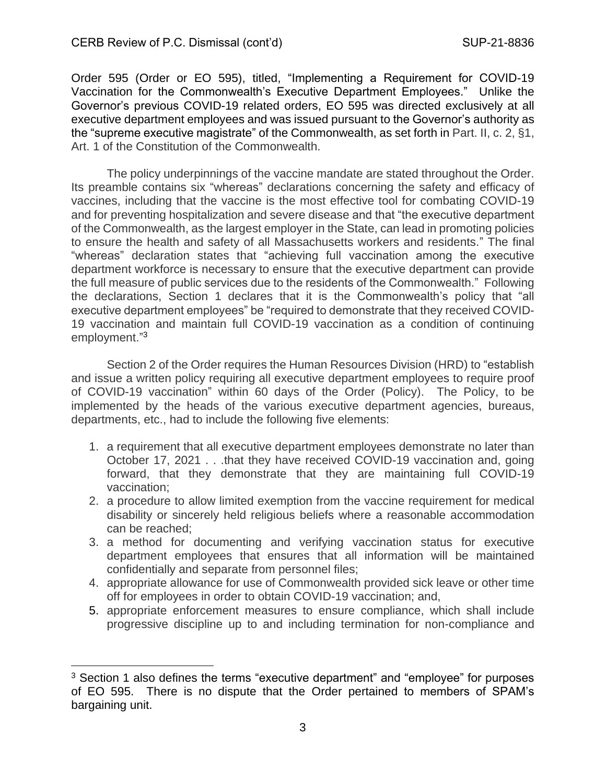Order 595 (Order or EO 595), titled, "Implementing a Requirement for COVID-19 Vaccination for the Commonwealth's Executive Department Employees." Unlike the Governor's previous COVID-19 related orders, EO 595 was directed exclusively at all executive department employees and was issued pursuant to the Governor's authority as the "supreme executive magistrate" of the Commonwealth, as set forth in Part. II, c. 2, §1, Art. 1 of the Constitution of the Commonwealth.

The policy underpinnings of the vaccine mandate are stated throughout the Order. Its preamble contains six "whereas" declarations concerning the safety and efficacy of vaccines, including that the vaccine is the most effective tool for combating COVID-19 and for preventing hospitalization and severe disease and that "the executive department of the Commonwealth, as the largest employer in the State, can lead in promoting policies to ensure the health and safety of all Massachusetts workers and residents." The final "whereas" declaration states that "achieving full vaccination among the executive department workforce is necessary to ensure that the executive department can provide the full measure of public services due to the residents of the Commonwealth." Following the declarations, Section 1 declares that it is the Commonwealth's policy that "all executive department employees" be "required to demonstrate that they received COVID-19 vaccination and maintain full COVID-19 vaccination as a condition of continuing employment."<sup>3</sup>

Section 2 of the Order requires the Human Resources Division (HRD) to "establish and issue a written policy requiring all executive department employees to require proof of COVID-19 vaccination" within 60 days of the Order (Policy). The Policy, to be implemented by the heads of the various executive department agencies, bureaus, departments, etc., had to include the following five elements:

- 1. a requirement that all executive department employees demonstrate no later than October 17, 2021 . . .that they have received COVID-19 vaccination and, going forward, that they demonstrate that they are maintaining full COVID-19 vaccination;
- 2. a procedure to allow limited exemption from the vaccine requirement for medical disability or sincerely held religious beliefs where a reasonable accommodation can be reached;
- 3. a method for documenting and verifying vaccination status for executive department employees that ensures that all information will be maintained confidentially and separate from personnel files;
- 4. appropriate allowance for use of Commonwealth provided sick leave or other time off for employees in order to obtain COVID-19 vaccination; and,
- 5. appropriate enforcement measures to ensure compliance, which shall include progressive discipline up to and including termination for non-compliance and

<sup>&</sup>lt;sup>3</sup> Section 1 also defines the terms "executive department" and "employee" for purposes of EO 595. There is no dispute that the Order pertained to members of SPAM's bargaining unit.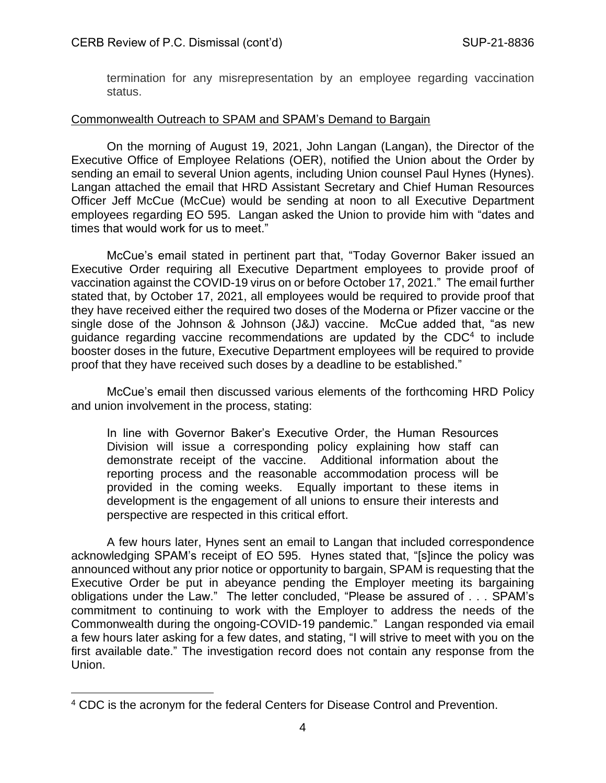termination for any misrepresentation by an employee regarding vaccination status.

### Commonwealth Outreach to SPAM and SPAM's Demand to Bargain

On the morning of August 19, 2021, John Langan (Langan), the Director of the Executive Office of Employee Relations (OER), notified the Union about the Order by sending an email to several Union agents, including Union counsel Paul Hynes (Hynes). Langan attached the email that HRD Assistant Secretary and Chief Human Resources Officer Jeff McCue (McCue) would be sending at noon to all Executive Department employees regarding EO 595. Langan asked the Union to provide him with "dates and times that would work for us to meet."

McCue's email stated in pertinent part that, "Today Governor Baker issued an Executive Order requiring all Executive Department employees to provide proof of vaccination against the COVID-19 virus on or before October 17, 2021." The email further stated that, by October 17, 2021, all employees would be required to provide proof that they have received either the required two doses of the Moderna or Pfizer vaccine or the single dose of the Johnson & Johnson (J&J) vaccine. McCue added that, "as new guidance regarding vaccine recommendations are updated by the CDC<sup>4</sup> to include booster doses in the future, Executive Department employees will be required to provide proof that they have received such doses by a deadline to be established."

McCue's email then discussed various elements of the forthcoming HRD Policy and union involvement in the process, stating:

In line with Governor Baker's Executive Order, the Human Resources Division will issue a corresponding policy explaining how staff can demonstrate receipt of the vaccine. Additional information about the reporting process and the reasonable accommodation process will be provided in the coming weeks. Equally important to these items in development is the engagement of all unions to ensure their interests and perspective are respected in this critical effort.

A few hours later, Hynes sent an email to Langan that included correspondence acknowledging SPAM's receipt of EO 595. Hynes stated that, "[s]ince the policy was announced without any prior notice or opportunity to bargain, SPAM is requesting that the Executive Order be put in abeyance pending the Employer meeting its bargaining obligations under the Law." The letter concluded, "Please be assured of . . . SPAM's commitment to continuing to work with the Employer to address the needs of the Commonwealth during the ongoing-COVID-19 pandemic." Langan responded via email a few hours later asking for a few dates, and stating, "I will strive to meet with you on the first available date." The investigation record does not contain any response from the Union.

<sup>4</sup> CDC is the acronym for the federal Centers for Disease Control and Prevention.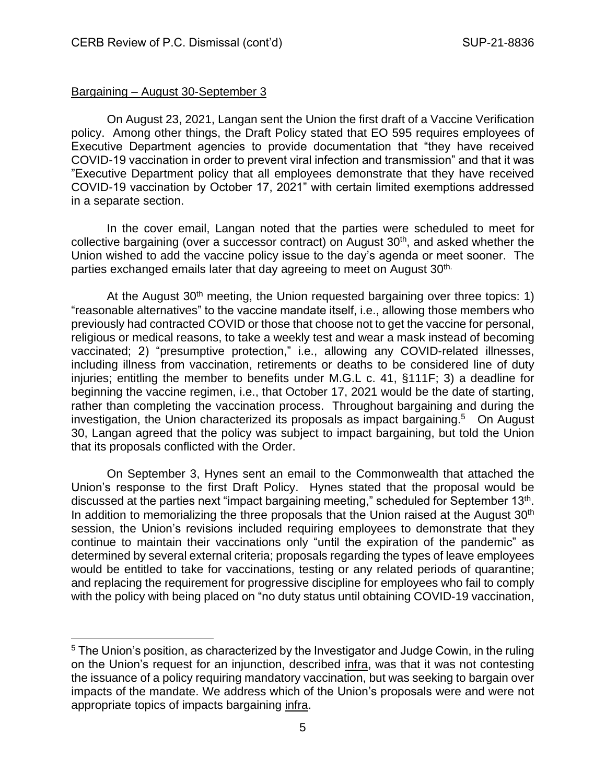# Bargaining – August 30-September 3

On August 23, 2021, Langan sent the Union the first draft of a Vaccine Verification policy. Among other things, the Draft Policy stated that EO 595 requires employees of Executive Department agencies to provide documentation that "they have received COVID-19 vaccination in order to prevent viral infection and transmission" and that it was "Executive Department policy that all employees demonstrate that they have received COVID-19 vaccination by October 17, 2021" with certain limited exemptions addressed in a separate section.

In the cover email, Langan noted that the parties were scheduled to meet for collective bargaining (over a successor contract) on August  $30<sup>th</sup>$ , and asked whether the Union wished to add the vaccine policy issue to the day's agenda or meet sooner. The parties exchanged emails later that day agreeing to meet on August 30<sup>th.</sup>

At the August  $30<sup>th</sup>$  meeting, the Union requested bargaining over three topics: 1) "reasonable alternatives" to the vaccine mandate itself, i.e., allowing those members who previously had contracted COVID or those that choose not to get the vaccine for personal, religious or medical reasons, to take a weekly test and wear a mask instead of becoming vaccinated; 2) "presumptive protection," i.e., allowing any COVID-related illnesses, including illness from vaccination, retirements or deaths to be considered line of duty injuries; entitling the member to benefits under M.G.L c. 41, §111F; 3) a deadline for beginning the vaccine regimen, i.e., that October 17, 2021 would be the date of starting, rather than completing the vaccination process. Throughout bargaining and during the investigation, the Union characterized its proposals as impact bargaining.<sup>5</sup> On August 30, Langan agreed that the policy was subject to impact bargaining, but told the Union that its proposals conflicted with the Order.

On September 3, Hynes sent an email to the Commonwealth that attached the Union's response to the first Draft Policy. Hynes stated that the proposal would be discussed at the parties next "impact bargaining meeting," scheduled for September 13<sup>th</sup>. In addition to memorializing the three proposals that the Union raised at the August  $30<sup>th</sup>$ session, the Union's revisions included requiring employees to demonstrate that they continue to maintain their vaccinations only "until the expiration of the pandemic" as determined by several external criteria; proposals regarding the types of leave employees would be entitled to take for vaccinations, testing or any related periods of quarantine; and replacing the requirement for progressive discipline for employees who fail to comply with the policy with being placed on "no duty status until obtaining COVID-19 vaccination,

<sup>&</sup>lt;sup>5</sup> The Union's position, as characterized by the Investigator and Judge Cowin, in the ruling on the Union's request for an injunction, described infra, was that it was not contesting the issuance of a policy requiring mandatory vaccination, but was seeking to bargain over impacts of the mandate. We address which of the Union's proposals were and were not appropriate topics of impacts bargaining infra.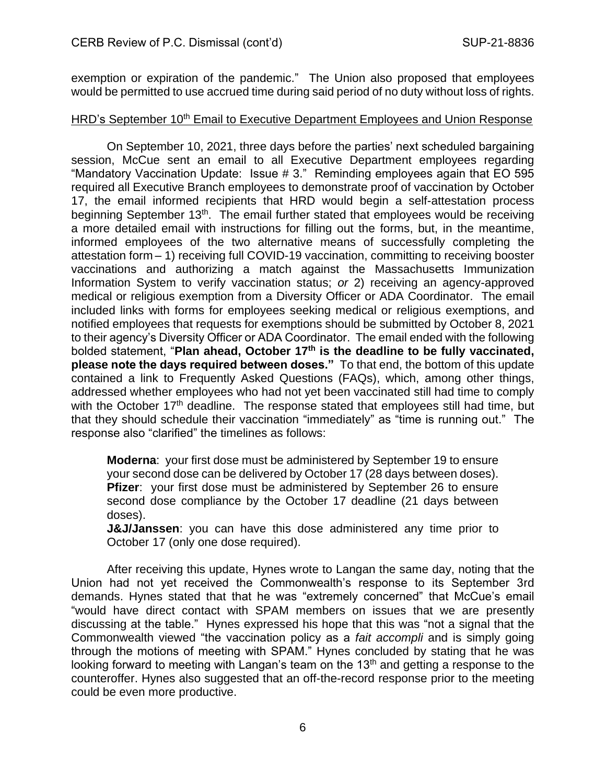exemption or expiration of the pandemic." The Union also proposed that employees would be permitted to use accrued time during said period of no duty without loss of rights.

### HRD's September 10<sup>th</sup> Email to Executive Department Employees and Union Response

On September 10, 2021, three days before the parties' next scheduled bargaining session, McCue sent an email to all Executive Department employees regarding "Mandatory Vaccination Update: Issue # 3." Reminding employees again that EO 595 required all Executive Branch employees to demonstrate proof of vaccination by October 17, the email informed recipients that HRD would begin a self-attestation process beginning September 13<sup>th</sup>. The email further stated that employees would be receiving a more detailed email with instructions for filling out the forms, but, in the meantime, informed employees of the two alternative means of successfully completing the attestation form – 1) receiving full COVID-19 vaccination, committing to receiving booster vaccinations and authorizing a match against the Massachusetts Immunization Information System to verify vaccination status; *or* 2) receiving an agency-approved medical or religious exemption from a Diversity Officer or ADA Coordinator. The email included links with forms for employees seeking medical or religious exemptions, and notified employees that requests for exemptions should be submitted by October 8, 2021 to their agency's Diversity Officer or ADA Coordinator. The email ended with the following bolded statement, "**Plan ahead, October 17th is the deadline to be fully vaccinated, please note the days required between doses."** To that end, the bottom of this update contained a link to Frequently Asked Questions (FAQs), which, among other things, addressed whether employees who had not yet been vaccinated still had time to comply with the October 17<sup>th</sup> deadline. The response stated that employees still had time, but that they should schedule their vaccination "immediately" as "time is running out." The response also "clarified" the timelines as follows:

**Moderna**: your first dose must be administered by September 19 to ensure your second dose can be delivered by October 17 (28 days between doses). **Pfizer:** your first dose must be administered by September 26 to ensure second dose compliance by the October 17 deadline (21 days between doses).

**J&J/Janssen**: you can have this dose administered any time prior to October 17 (only one dose required).

After receiving this update, Hynes wrote to Langan the same day, noting that the Union had not yet received the Commonwealth's response to its September 3rd demands. Hynes stated that that he was "extremely concerned" that McCue's email "would have direct contact with SPAM members on issues that we are presently discussing at the table." Hynes expressed his hope that this was "not a signal that the Commonwealth viewed "the vaccination policy as a *fait accompli* and is simply going through the motions of meeting with SPAM." Hynes concluded by stating that he was looking forward to meeting with Langan's team on the  $13<sup>th</sup>$  and getting a response to the counteroffer. Hynes also suggested that an off-the-record response prior to the meeting could be even more productive.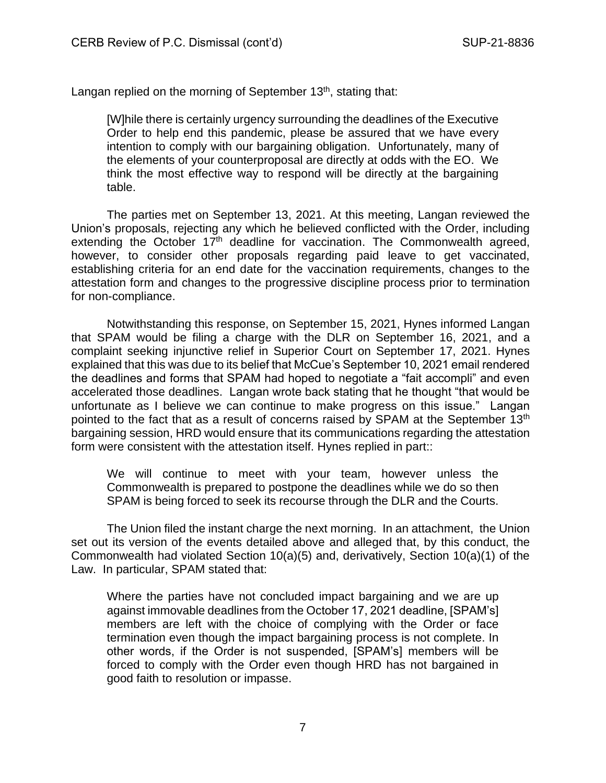Langan replied on the morning of September 13<sup>th</sup>, stating that:

[W]hile there is certainly urgency surrounding the deadlines of the Executive Order to help end this pandemic, please be assured that we have every intention to comply with our bargaining obligation. Unfortunately, many of the elements of your counterproposal are directly at odds with the EO. We think the most effective way to respond will be directly at the bargaining table.

The parties met on September 13, 2021. At this meeting, Langan reviewed the Union's proposals, rejecting any which he believed conflicted with the Order, including extending the October  $17<sup>th</sup>$  deadline for vaccination. The Commonwealth agreed, however, to consider other proposals regarding paid leave to get vaccinated, establishing criteria for an end date for the vaccination requirements, changes to the attestation form and changes to the progressive discipline process prior to termination for non-compliance.

Notwithstanding this response, on September 15, 2021, Hynes informed Langan that SPAM would be filing a charge with the DLR on September 16, 2021, and a complaint seeking injunctive relief in Superior Court on September 17, 2021. Hynes explained that this was due to its belief that McCue's September 10, 2021 email rendered the deadlines and forms that SPAM had hoped to negotiate a "fait accompli" and even accelerated those deadlines. Langan wrote back stating that he thought "that would be unfortunate as I believe we can continue to make progress on this issue." Langan pointed to the fact that as a result of concerns raised by SPAM at the September 13<sup>th</sup> bargaining session, HRD would ensure that its communications regarding the attestation form were consistent with the attestation itself. Hynes replied in part::

We will continue to meet with your team, however unless the Commonwealth is prepared to postpone the deadlines while we do so then SPAM is being forced to seek its recourse through the DLR and the Courts.

The Union filed the instant charge the next morning. In an attachment, the Union set out its version of the events detailed above and alleged that, by this conduct, the Commonwealth had violated Section 10(a)(5) and, derivatively, Section 10(a)(1) of the Law. In particular, SPAM stated that:

Where the parties have not concluded impact bargaining and we are up against immovable deadlines from the October 17, 2021 deadline, [SPAM's] members are left with the choice of complying with the Order or face termination even though the impact bargaining process is not complete. In other words, if the Order is not suspended, [SPAM's] members will be forced to comply with the Order even though HRD has not bargained in good faith to resolution or impasse.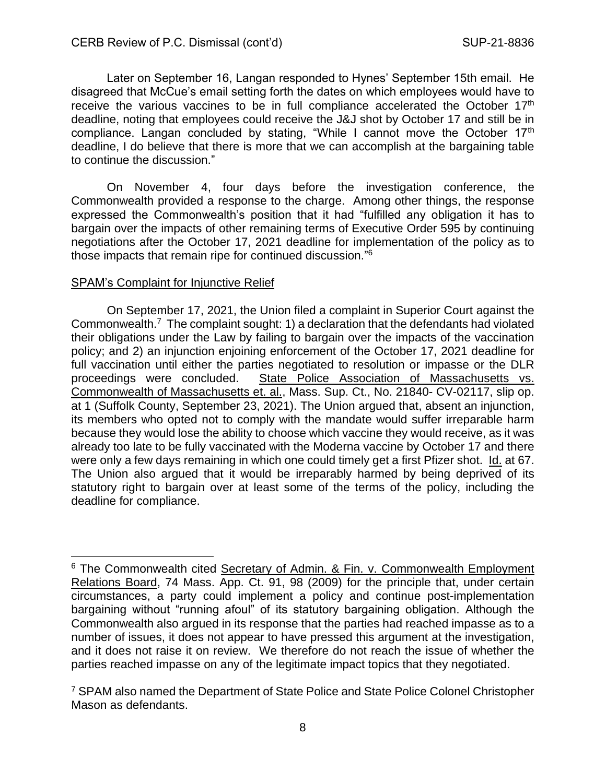Later on September 16, Langan responded to Hynes' September 15th email. He disagreed that McCue's email setting forth the dates on which employees would have to receive the various vaccines to be in full compliance accelerated the October 17<sup>th</sup> deadline, noting that employees could receive the J&J shot by October 17 and still be in compliance. Langan concluded by stating, "While I cannot move the October 17th deadline, I do believe that there is more that we can accomplish at the bargaining table to continue the discussion."

On November 4, four days before the investigation conference, the Commonwealth provided a response to the charge. Among other things, the response expressed the Commonwealth's position that it had "fulfilled any obligation it has to bargain over the impacts of other remaining terms of Executive Order 595 by continuing negotiations after the October 17, 2021 deadline for implementation of the policy as to those impacts that remain ripe for continued discussion."<sup>6</sup>

#### SPAM's Complaint for Injunctive Relief

On September 17, 2021, the Union filed a complaint in Superior Court against the Commonwealth.<sup>7</sup> The complaint sought: 1) a declaration that the defendants had violated their obligations under the Law by failing to bargain over the impacts of the vaccination policy; and 2) an injunction enjoining enforcement of the October 17, 2021 deadline for full vaccination until either the parties negotiated to resolution or impasse or the DLR proceedings were concluded. State Police Association of Massachusetts vs. Commonwealth of Massachusetts et. al., Mass. Sup. Ct., No. 21840- CV-02117, slip op. at 1 (Suffolk County, September 23, 2021). The Union argued that, absent an injunction, its members who opted not to comply with the mandate would suffer irreparable harm because they would lose the ability to choose which vaccine they would receive, as it was already too late to be fully vaccinated with the Moderna vaccine by October 17 and there were only a few days remaining in which one could timely get a first Pfizer shot. Id. at 67. The Union also argued that it would be irreparably harmed by being deprived of its statutory right to bargain over at least some of the terms of the policy, including the deadline for compliance.

<sup>&</sup>lt;sup>6</sup> The Commonwealth cited Secretary of Admin. & Fin. v. Commonwealth Employment Relations Board, 74 Mass. App. Ct. 91, 98 (2009) for the principle that, under certain circumstances, a party could implement a policy and continue post-implementation bargaining without "running afoul" of its statutory bargaining obligation. Although the Commonwealth also argued in its response that the parties had reached impasse as to a number of issues, it does not appear to have pressed this argument at the investigation, and it does not raise it on review. We therefore do not reach the issue of whether the parties reached impasse on any of the legitimate impact topics that they negotiated.

<sup>&</sup>lt;sup>7</sup> SPAM also named the Department of State Police and State Police Colonel Christopher Mason as defendants.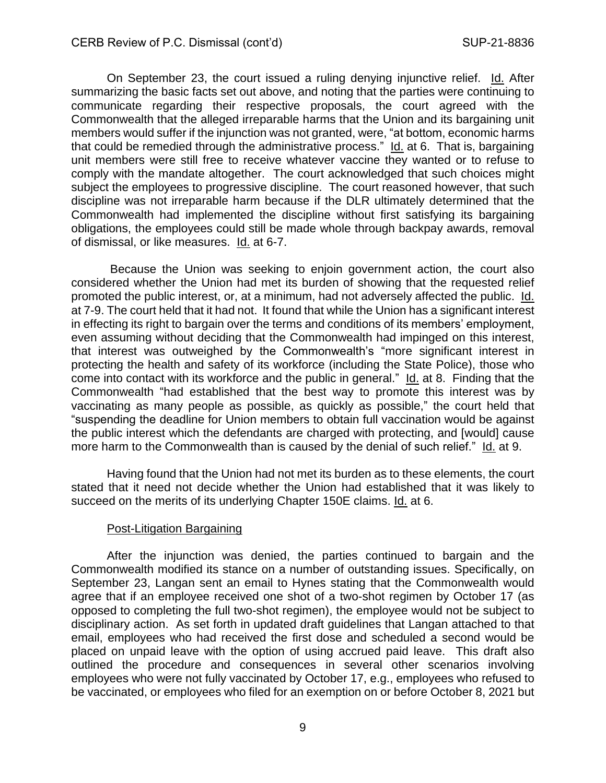On September 23, the court issued a ruling denying injunctive relief. Id. After summarizing the basic facts set out above, and noting that the parties were continuing to communicate regarding their respective proposals, the court agreed with the Commonwealth that the alleged irreparable harms that the Union and its bargaining unit members would suffer if the injunction was not granted, were, "at bottom, economic harms that could be remedied through the administrative process." Id. at 6. That is, bargaining unit members were still free to receive whatever vaccine they wanted or to refuse to comply with the mandate altogether. The court acknowledged that such choices might subject the employees to progressive discipline. The court reasoned however, that such discipline was not irreparable harm because if the DLR ultimately determined that the Commonwealth had implemented the discipline without first satisfying its bargaining obligations, the employees could still be made whole through backpay awards, removal of dismissal, or like measures. Id. at 6-7.

Because the Union was seeking to enjoin government action, the court also considered whether the Union had met its burden of showing that the requested relief promoted the public interest, or, at a minimum, had not adversely affected the public. Id. at 7-9. The court held that it had not. It found that while the Union has a significant interest in effecting its right to bargain over the terms and conditions of its members' employment, even assuming without deciding that the Commonwealth had impinged on this interest, that interest was outweighed by the Commonwealth's "more significant interest in protecting the health and safety of its workforce (including the State Police), those who come into contact with its workforce and the public in general." Id. at 8. Finding that the Commonwealth "had established that the best way to promote this interest was by vaccinating as many people as possible, as quickly as possible," the court held that "suspending the deadline for Union members to obtain full vaccination would be against the public interest which the defendants are charged with protecting, and [would] cause more harm to the Commonwealth than is caused by the denial of such relief." Id. at 9.

Having found that the Union had not met its burden as to these elements, the court stated that it need not decide whether the Union had established that it was likely to succeed on the merits of its underlying Chapter 150E claims. Id. at 6.

#### Post-Litigation Bargaining

After the injunction was denied, the parties continued to bargain and the Commonwealth modified its stance on a number of outstanding issues. Specifically, on September 23, Langan sent an email to Hynes stating that the Commonwealth would agree that if an employee received one shot of a two-shot regimen by October 17 (as opposed to completing the full two-shot regimen), the employee would not be subject to disciplinary action. As set forth in updated draft guidelines that Langan attached to that email, employees who had received the first dose and scheduled a second would be placed on unpaid leave with the option of using accrued paid leave. This draft also outlined the procedure and consequences in several other scenarios involving employees who were not fully vaccinated by October 17, e.g., employees who refused to be vaccinated, or employees who filed for an exemption on or before October 8, 2021 but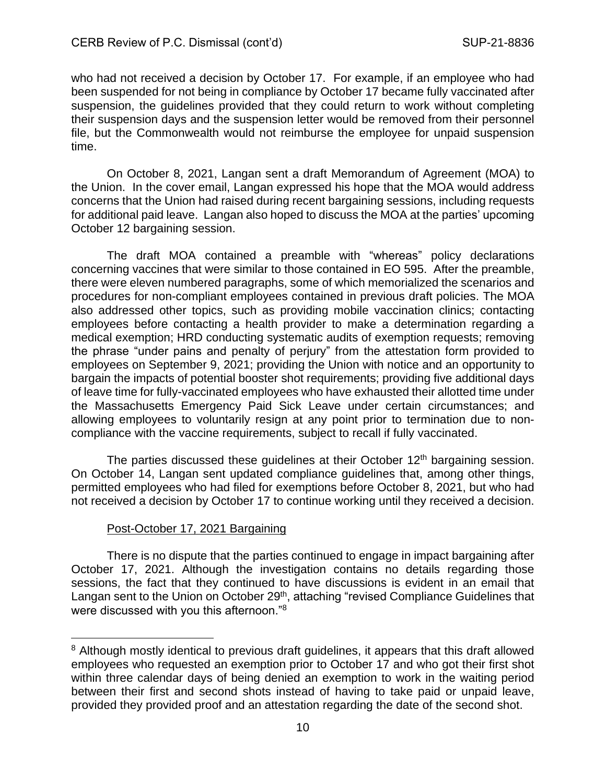who had not received a decision by October 17. For example, if an employee who had been suspended for not being in compliance by October 17 became fully vaccinated after suspension, the guidelines provided that they could return to work without completing their suspension days and the suspension letter would be removed from their personnel file, but the Commonwealth would not reimburse the employee for unpaid suspension time.

On October 8, 2021, Langan sent a draft Memorandum of Agreement (MOA) to the Union. In the cover email, Langan expressed his hope that the MOA would address concerns that the Union had raised during recent bargaining sessions, including requests for additional paid leave. Langan also hoped to discuss the MOA at the parties' upcoming October 12 bargaining session.

The draft MOA contained a preamble with "whereas" policy declarations concerning vaccines that were similar to those contained in EO 595. After the preamble, there were eleven numbered paragraphs, some of which memorialized the scenarios and procedures for non-compliant employees contained in previous draft policies. The MOA also addressed other topics, such as providing mobile vaccination clinics; contacting employees before contacting a health provider to make a determination regarding a medical exemption; HRD conducting systematic audits of exemption requests; removing the phrase "under pains and penalty of perjury" from the attestation form provided to employees on September 9, 2021; providing the Union with notice and an opportunity to bargain the impacts of potential booster shot requirements; providing five additional days of leave time for fully-vaccinated employees who have exhausted their allotted time under the Massachusetts Emergency Paid Sick Leave under certain circumstances; and allowing employees to voluntarily resign at any point prior to termination due to noncompliance with the vaccine requirements, subject to recall if fully vaccinated.

The parties discussed these guidelines at their October 12<sup>th</sup> bargaining session. On October 14, Langan sent updated compliance guidelines that, among other things, permitted employees who had filed for exemptions before October 8, 2021, but who had not received a decision by October 17 to continue working until they received a decision.

#### Post-October 17, 2021 Bargaining

There is no dispute that the parties continued to engage in impact bargaining after October 17, 2021. Although the investigation contains no details regarding those sessions, the fact that they continued to have discussions is evident in an email that Langan sent to the Union on October 29<sup>th</sup>, attaching "revised Compliance Guidelines that were discussed with you this afternoon."<sup>8</sup>

<sup>&</sup>lt;sup>8</sup> Although mostly identical to previous draft guidelines, it appears that this draft allowed employees who requested an exemption prior to October 17 and who got their first shot within three calendar days of being denied an exemption to work in the waiting period between their first and second shots instead of having to take paid or unpaid leave, provided they provided proof and an attestation regarding the date of the second shot.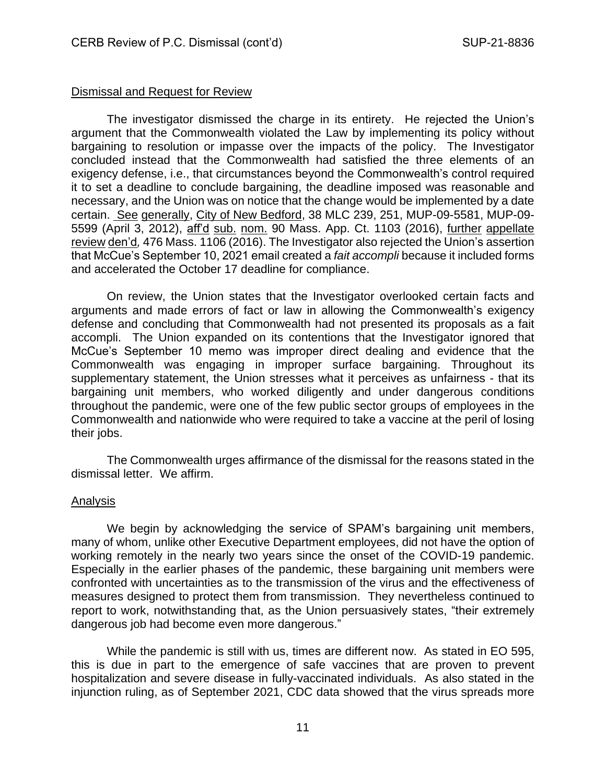### Dismissal and Request for Review

The investigator dismissed the charge in its entirety. He rejected the Union's argument that the Commonwealth violated the Law by implementing its policy without bargaining to resolution or impasse over the impacts of the policy. The Investigator concluded instead that the Commonwealth had satisfied the three elements of an exigency defense, i.e., that circumstances beyond the Commonwealth's control required it to set a deadline to conclude bargaining, the deadline imposed was reasonable and necessary, and the Union was on notice that the change would be implemented by a date certain. See generally, City of New Bedford, 38 MLC 239, 251, MUP-09-5581, MUP-09- 5599 (April 3, 2012), aff'd sub. nom. 90 Mass. App. Ct. 1103 (2016), further appellate review den'd*,* 476 Mass. 1106 (2016). The Investigator also rejected the Union's assertion that McCue's September 10, 2021 email created a *fait accompli* because it included forms and accelerated the October 17 deadline for compliance.

On review, the Union states that the Investigator overlooked certain facts and arguments and made errors of fact or law in allowing the Commonwealth's exigency defense and concluding that Commonwealth had not presented its proposals as a fait accompli. The Union expanded on its contentions that the Investigator ignored that McCue's September 10 memo was improper direct dealing and evidence that the Commonwealth was engaging in improper surface bargaining. Throughout its supplementary statement, the Union stresses what it perceives as unfairness - that its bargaining unit members, who worked diligently and under dangerous conditions throughout the pandemic, were one of the few public sector groups of employees in the Commonwealth and nationwide who were required to take a vaccine at the peril of losing their jobs.

The Commonwealth urges affirmance of the dismissal for the reasons stated in the dismissal letter. We affirm.

#### Analysis

We begin by acknowledging the service of SPAM's bargaining unit members, many of whom, unlike other Executive Department employees, did not have the option of working remotely in the nearly two years since the onset of the COVID-19 pandemic. Especially in the earlier phases of the pandemic, these bargaining unit members were confronted with uncertainties as to the transmission of the virus and the effectiveness of measures designed to protect them from transmission. They nevertheless continued to report to work, notwithstanding that, as the Union persuasively states, "their extremely dangerous job had become even more dangerous."

While the pandemic is still with us, times are different now. As stated in EO 595, this is due in part to the emergence of safe vaccines that are proven to prevent hospitalization and severe disease in fully-vaccinated individuals. As also stated in the injunction ruling, as of September 2021, CDC data showed that the virus spreads more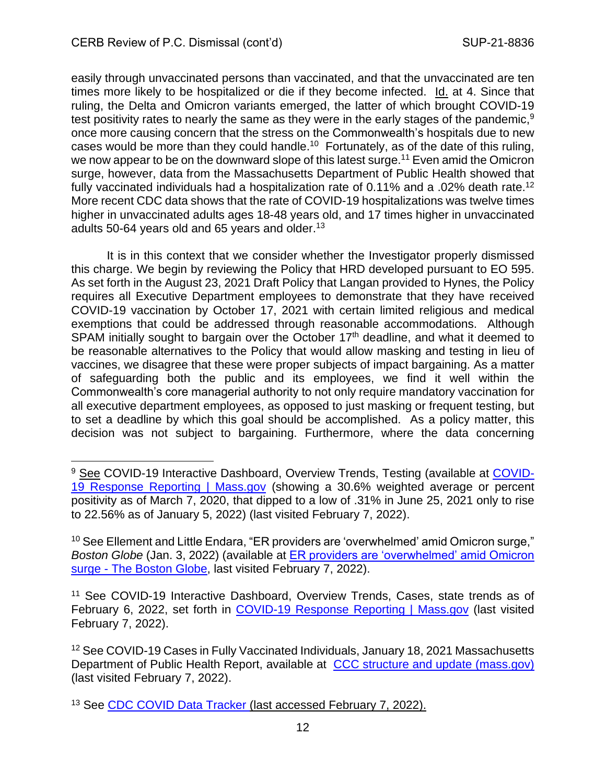easily through unvaccinated persons than vaccinated, and that the unvaccinated are ten times more likely to be hospitalized or die if they become infected. Id. at 4. Since that ruling, the Delta and Omicron variants emerged, the latter of which brought COVID-19 test positivity rates to nearly the same as they were in the early stages of the pandemic,<sup>9</sup> once more causing concern that the stress on the Commonwealth's hospitals due to new cases would be more than they could handle.<sup>10</sup> Fortunately, as of the date of this ruling, we now appear to be on the downward slope of this latest surge.<sup>11</sup> Even amid the Omicron surge, however, data from the Massachusetts Department of Public Health showed that fully vaccinated individuals had a hospitalization rate of 0.11% and a .02% death rate.<sup>12</sup> More recent CDC data shows that the rate of COVID-19 hospitalizations was twelve times higher in unvaccinated adults ages 18-48 years old, and 17 times higher in unvaccinated adults 50-64 years old and 65 years and older.<sup>13</sup>

It is in this context that we consider whether the Investigator properly dismissed this charge. We begin by reviewing the Policy that HRD developed pursuant to EO 595. As set forth in the August 23, 2021 Draft Policy that Langan provided to Hynes, the Policy requires all Executive Department employees to demonstrate that they have received COVID-19 vaccination by October 17, 2021 with certain limited religious and medical exemptions that could be addressed through reasonable accommodations. Although SPAM initially sought to bargain over the October  $17<sup>th</sup>$  deadline, and what it deemed to be reasonable alternatives to the Policy that would allow masking and testing in lieu of vaccines, we disagree that these were proper subjects of impact bargaining. As a matter of safeguarding both the public and its employees, we find it well within the Commonwealth's core managerial authority to not only require mandatory vaccination for all executive department employees, as opposed to just masking or frequent testing, but to set a deadline by which this goal should be accomplished. As a policy matter, this decision was not subject to bargaining. Furthermore, where the data concerning

<sup>&</sup>lt;sup>9</sup> See COVID-19 Interactive Dashboard, Overview Trends, Testing (available at [COVID-](https://www.mass.gov/info-details/covid-19-response-reporting#covid-19-interactive-data-dashboard-)[19 Response Reporting | Mass.gov](https://www.mass.gov/info-details/covid-19-response-reporting#covid-19-interactive-data-dashboard-) (showing a 30.6% weighted average or percent positivity as of March 7, 2020, that dipped to a low of .31% in June 25, 2021 only to rise to 22.56% as of January 5, 2022) (last visited February 7, 2022).

<sup>&</sup>lt;sup>10</sup> See Ellement and Little Endara, "ER providers are 'overwhelmed' amid Omicron surge," *Boston Globe* (Jan. 3, 2022) (available at [ER providers are 'overwhelmed' amid Omicron](https://www.bostonglobe.com/2022/01/03/metro/er-providers-are-overwhelmed-amid-omicron-surge/)  surge - [The Boston Globe,](https://www.bostonglobe.com/2022/01/03/metro/er-providers-are-overwhelmed-amid-omicron-surge/) last visited February 7, 2022).

<sup>&</sup>lt;sup>11</sup> See COVID-19 Interactive Dashboard, Overview Trends, Cases, state trends as of February 6, 2022, set forth in [COVID-19 Response Reporting |](https://www.mass.gov/info-details/covid-19-response-reporting#covid-19-interactive-data-dashboard-) Mass.gov (last visited February 7, 2022).

<sup>12</sup> See COVID-19 Cases in Fully Vaccinated Individuals, January 18, 2021 Massachusetts Department of Public Health Report, available at [CCC structure and update \(mass.gov\)](https://www.mass.gov/doc/weekly-report-covid-19-cases-in-vaccinated-individuals-january-18-2022/download) (last visited February 7, 2022).

<sup>&</sup>lt;sup>13</sup> See [CDC COVID Data Tracker](https://covid.cdc.gov/covid-data-tracker/#covidnet-hospitalizations-vaccination) (last accessed February 7, 2022).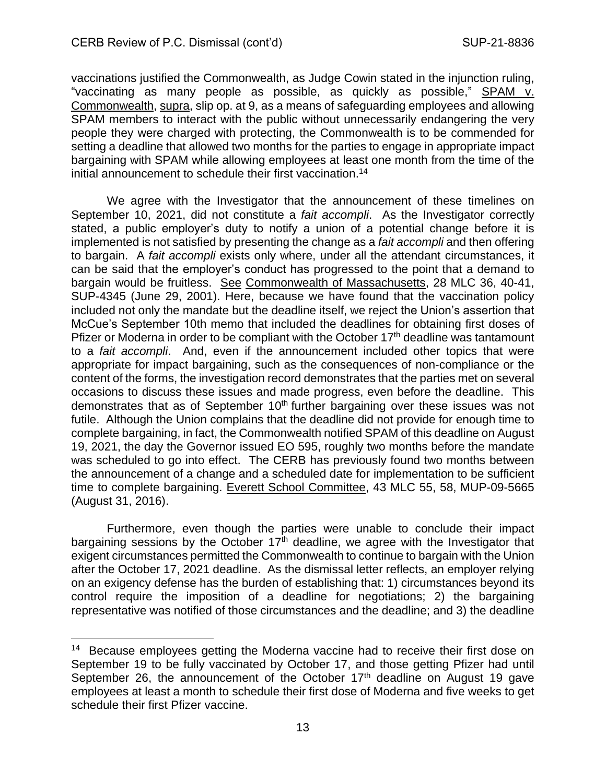vaccinations justified the Commonwealth, as Judge Cowin stated in the injunction ruling, "vaccinating as many people as possible, as quickly as possible," SPAM v. Commonwealth, supra, slip op. at 9, as a means of safeguarding employees and allowing SPAM members to interact with the public without unnecessarily endangering the very people they were charged with protecting, the Commonwealth is to be commended for setting a deadline that allowed two months for the parties to engage in appropriate impact bargaining with SPAM while allowing employees at least one month from the time of the initial announcement to schedule their first vaccination. 14

We agree with the Investigator that the announcement of these timelines on September 10, 2021, did not constitute a *fait accompli*. As the Investigator correctly stated, a public employer's duty to notify a union of a potential change before it is implemented is not satisfied by presenting the change as a *fait accompli* and then offering to bargain. A *fait accompli* exists only where, under all the attendant circumstances, it can be said that the employer's conduct has progressed to the point that a demand to bargain would be fruitless. See Commonwealth of Massachusetts, 28 MLC 36, 40-41, SUP-4345 (June 29, 2001). Here, because we have found that the vaccination policy included not only the mandate but the deadline itself, we reject the Union's assertion that McCue's September 10th memo that included the deadlines for obtaining first doses of Pfizer or Moderna in order to be compliant with the October 17<sup>th</sup> deadline was tantamount to a *fait accompli*. And, even if the announcement included other topics that were appropriate for impact bargaining, such as the consequences of non-compliance or the content of the forms, the investigation record demonstrates that the parties met on several occasions to discuss these issues and made progress, even before the deadline. This demonstrates that as of September 10<sup>th</sup> further bargaining over these issues was not futile. Although the Union complains that the deadline did not provide for enough time to complete bargaining, in fact, the Commonwealth notified SPAM of this deadline on August 19, 2021, the day the Governor issued EO 595, roughly two months before the mandate was scheduled to go into effect. The CERB has previously found two months between the announcement of a change and a scheduled date for implementation to be sufficient time to complete bargaining. Everett School Committee, 43 MLC 55, 58, MUP-09-5665 (August 31, 2016).

Furthermore, even though the parties were unable to conclude their impact bargaining sessions by the October  $17<sup>th</sup>$  deadline, we agree with the Investigator that exigent circumstances permitted the Commonwealth to continue to bargain with the Union after the October 17, 2021 deadline. As the dismissal letter reflects, an employer relying on an exigency defense has the burden of establishing that: 1) circumstances beyond its control require the imposition of a deadline for negotiations; 2) the bargaining representative was notified of those circumstances and the deadline; and 3) the deadline

<sup>&</sup>lt;sup>14</sup> Because employees getting the Moderna vaccine had to receive their first dose on September 19 to be fully vaccinated by October 17, and those getting Pfizer had until September 26, the announcement of the October  $17<sup>th</sup>$  deadline on August 19 gave employees at least a month to schedule their first dose of Moderna and five weeks to get schedule their first Pfizer vaccine.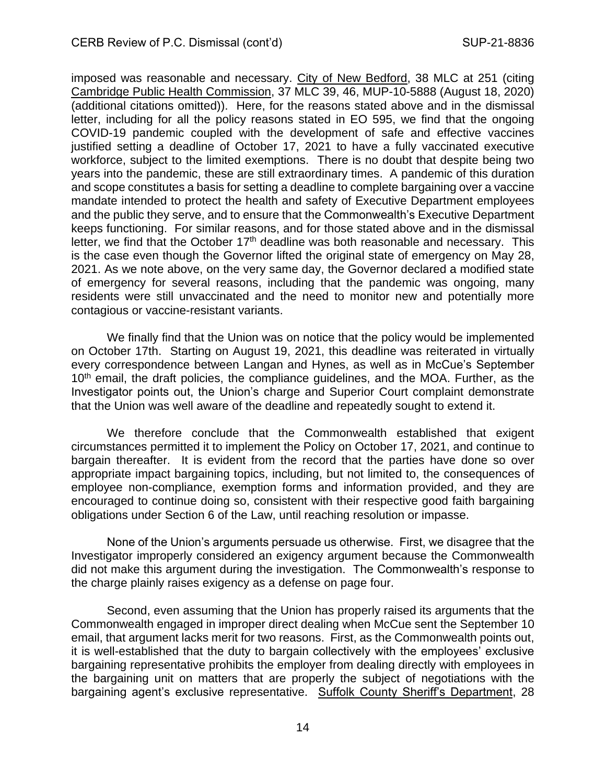imposed was reasonable and necessary. City of New Bedford, 38 MLC at 251 (citing Cambridge Public Health Commission, 37 MLC 39, 46, MUP-10-5888 (August 18, 2020) (additional citations omitted)). Here, for the reasons stated above and in the dismissal letter, including for all the policy reasons stated in EO 595, we find that the ongoing COVID-19 pandemic coupled with the development of safe and effective vaccines justified setting a deadline of October 17, 2021 to have a fully vaccinated executive workforce, subject to the limited exemptions. There is no doubt that despite being two years into the pandemic, these are still extraordinary times. A pandemic of this duration and scope constitutes a basis for setting a deadline to complete bargaining over a vaccine mandate intended to protect the health and safety of Executive Department employees and the public they serve, and to ensure that the Commonwealth's Executive Department keeps functioning. For similar reasons, and for those stated above and in the dismissal letter, we find that the October  $17<sup>th</sup>$  deadline was both reasonable and necessary. This is the case even though the Governor lifted the original state of emergency on May 28, 2021. As we note above, on the very same day, the Governor declared a modified state of emergency for several reasons, including that the pandemic was ongoing, many residents were still unvaccinated and the need to monitor new and potentially more contagious or vaccine-resistant variants.

We finally find that the Union was on notice that the policy would be implemented on October 17th. Starting on August 19, 2021, this deadline was reiterated in virtually every correspondence between Langan and Hynes, as well as in McCue's September 10<sup>th</sup> email, the draft policies, the compliance quidelines, and the MOA. Further, as the Investigator points out, the Union's charge and Superior Court complaint demonstrate that the Union was well aware of the deadline and repeatedly sought to extend it.

We therefore conclude that the Commonwealth established that exigent circumstances permitted it to implement the Policy on October 17, 2021, and continue to bargain thereafter. It is evident from the record that the parties have done so over appropriate impact bargaining topics, including, but not limited to, the consequences of employee non-compliance, exemption forms and information provided, and they are encouraged to continue doing so, consistent with their respective good faith bargaining obligations under Section 6 of the Law, until reaching resolution or impasse.

None of the Union's arguments persuade us otherwise. First, we disagree that the Investigator improperly considered an exigency argument because the Commonwealth did not make this argument during the investigation. The Commonwealth's response to the charge plainly raises exigency as a defense on page four.

Second, even assuming that the Union has properly raised its arguments that the Commonwealth engaged in improper direct dealing when McCue sent the September 10 email, that argument lacks merit for two reasons. First, as the Commonwealth points out, it is well-established that the duty to bargain collectively with the employees' exclusive bargaining representative prohibits the employer from dealing directly with employees in the bargaining unit on matters that are properly the subject of negotiations with the bargaining agent's exclusive representative. Suffolk County Sheriff's Department, 28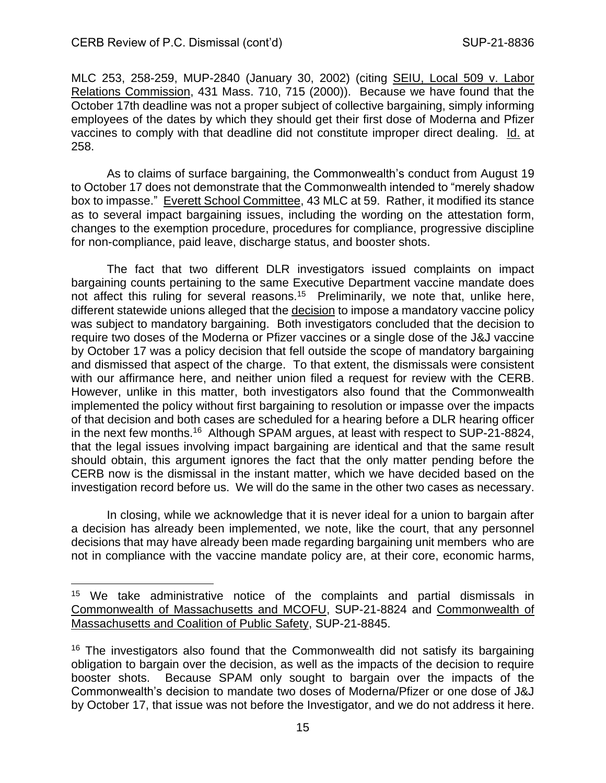MLC 253, 258-259, MUP-2840 (January 30, 2002) (citing SEIU, Local 509 v. Labor Relations Commission, 431 Mass. 710, 715 (2000)). Because we have found that the October 17th deadline was not a proper subject of collective bargaining, simply informing employees of the dates by which they should get their first dose of Moderna and Pfizer vaccines to comply with that deadline did not constitute improper direct dealing. Id. at 258.

As to claims of surface bargaining, the Commonwealth's conduct from August 19 to October 17 does not demonstrate that the Commonwealth intended to "merely shadow box to impasse." Everett School Committee, 43 MLC at 59. Rather, it modified its stance as to several impact bargaining issues, including the wording on the attestation form, changes to the exemption procedure, procedures for compliance, progressive discipline for non-compliance, paid leave, discharge status, and booster shots.

The fact that two different DLR investigators issued complaints on impact bargaining counts pertaining to the same Executive Department vaccine mandate does not affect this ruling for several reasons.<sup>15</sup> Preliminarily, we note that, unlike here, different statewide unions alleged that the decision to impose a mandatory vaccine policy was subject to mandatory bargaining. Both investigators concluded that the decision to require two doses of the Moderna or Pfizer vaccines or a single dose of the J&J vaccine by October 17 was a policy decision that fell outside the scope of mandatory bargaining and dismissed that aspect of the charge. To that extent, the dismissals were consistent with our affirmance here, and neither union filed a request for review with the CERB. However, unlike in this matter, both investigators also found that the Commonwealth implemented the policy without first bargaining to resolution or impasse over the impacts of that decision and both cases are scheduled for a hearing before a DLR hearing officer in the next few months.<sup>16</sup> Although SPAM argues, at least with respect to SUP-21-8824, that the legal issues involving impact bargaining are identical and that the same result should obtain, this argument ignores the fact that the only matter pending before the CERB now is the dismissal in the instant matter, which we have decided based on the investigation record before us. We will do the same in the other two cases as necessary.

In closing, while we acknowledge that it is never ideal for a union to bargain after a decision has already been implemented, we note, like the court, that any personnel decisions that may have already been made regarding bargaining unit members who are not in compliance with the vaccine mandate policy are, at their core, economic harms,

<sup>&</sup>lt;sup>15</sup> We take administrative notice of the complaints and partial dismissals in Commonwealth of Massachusetts and MCOFU, SUP-21-8824 and Commonwealth of Massachusetts and Coalition of Public Safety, SUP-21-8845.

 $16$  The investigators also found that the Commonwealth did not satisfy its bargaining obligation to bargain over the decision, as well as the impacts of the decision to require booster shots. Because SPAM only sought to bargain over the impacts of the Commonwealth's decision to mandate two doses of Moderna/Pfizer or one dose of J&J by October 17, that issue was not before the Investigator, and we do not address it here.